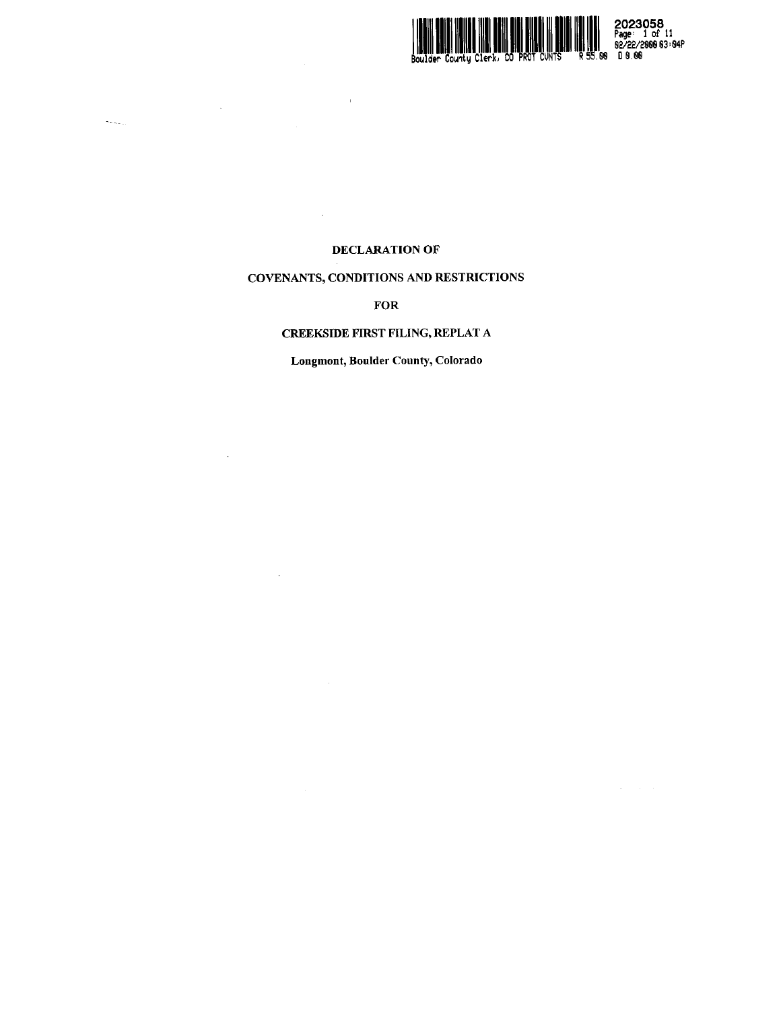

2023058<br>Page: 1 of 11<br>55.60 D 8.66

# DECLARATION OF

 $\hat{\mathbf{I}}$ 

 $\sim$ 

 $\tilde{\mathcal{S}}_{\mathcal{S},\mathcal{S},\mathcal{S},\mathcal{S}}$ 

# COVENANTS, CONDITIONS AND RESTRICTIONS

**FOR** 

# **CREEKSIDE FIRST FILING, REPLAT A**

Longmont, Boulder County, Colorado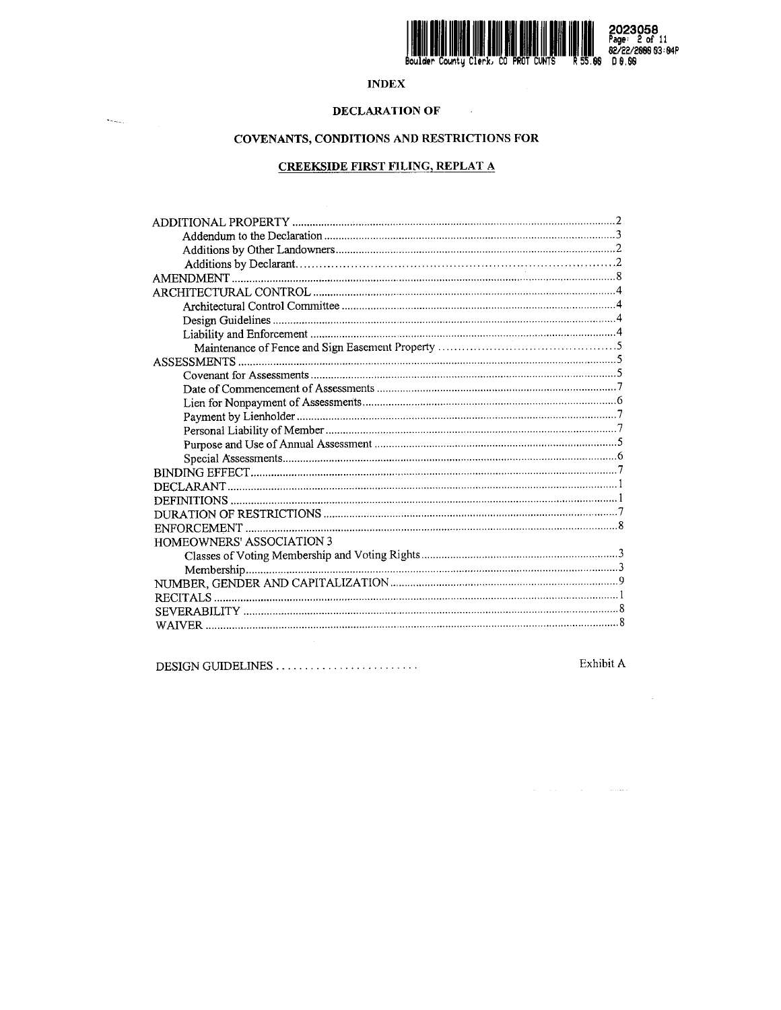

 $\begin{array}{c}\n\mathbf{3} \\
\mathbf{1} \\
\mathbf{2} \\
\mathbf{3} \\
\mathbf{4} \\
\mathbf{5} \\
\mathbf{5} \\
\mathbf{5} \\
\mathbf{5} \\
\mathbf{6} \\
\mathbf{6} \\
\mathbf{7} \\
\mathbf{8} \\
\mathbf{8} \\
\mathbf{9} \\
\mathbf{1} \\
\mathbf{1} \\
\mathbf{1} \\
\mathbf{1} \\
\mathbf{1} \\
\mathbf{1} \\
\mathbf{1} \\
\mathbf{1} \\
\mathbf{1} \\
\mathbf{1} \\
\mathbf{1} \\
\mathbf{1} \\
\mathbf{1} \\
\mathbf{1} \\
\mathbf{1} \\
\math$ 

# **INDEX**

# **DECLARATION OF**

 $\label{eq:semin} \mathbf{S}_{\mathbf{S},\mathbf{S},\mathbf{S},\mathbf{S}}(t) = \frac{1}{\sqrt{2\pi\epsilon_{\mathbf{S}}}} \mathbf{1}_{\mathbf{S},\mathbf{S}}(t)$ 

# COVENANTS, CONDITIONS AND RESTRICTIONS FOR

# **CREEKSIDE FIRST FILING, REPLAT A**

| HOMEOWNERS' ASSOCIATION 3 |  |  |
|---------------------------|--|--|
|                           |  |  |
|                           |  |  |
|                           |  |  |
|                           |  |  |
|                           |  |  |
|                           |  |  |
|                           |  |  |

|--|--|

Exhibit A

 $\alpha$  , and  $\alpha$  , and  $\alpha$  , and  $\alpha$  , and  $\alpha$ 

 $\sim 10^7$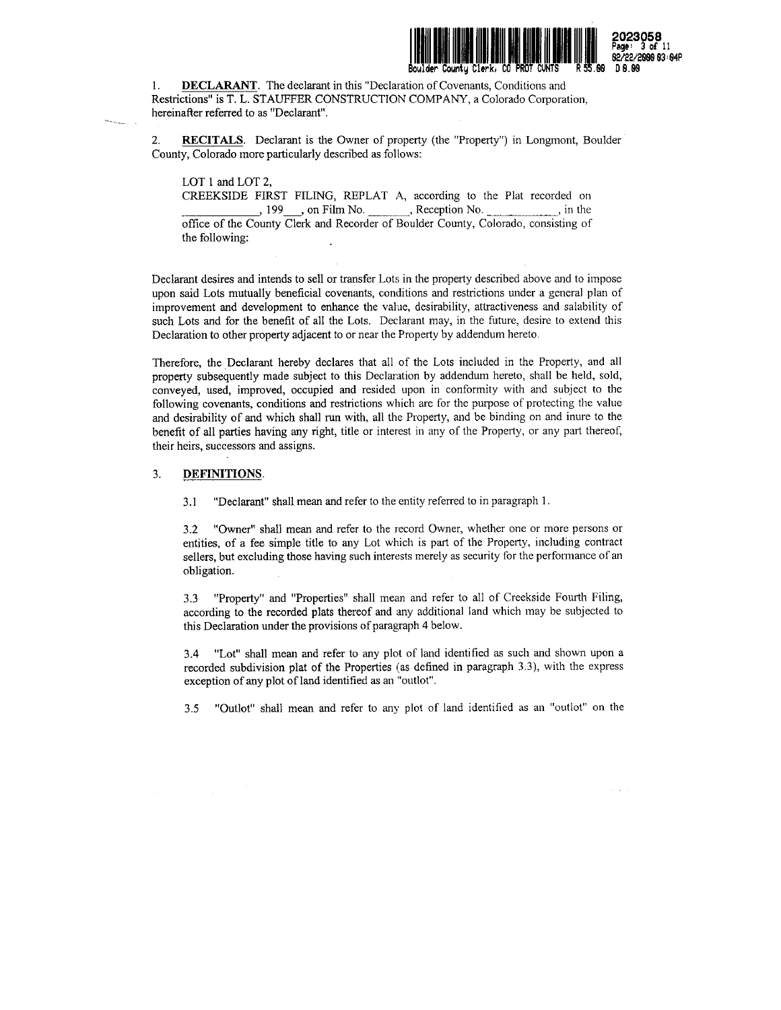

2023058 Page- <sup>3</sup> of <sup>11</sup> 02/22/2888 S3 : 84P

1. **DECLARANT.** The declarant in this "Declaration of Covenants, Conditions and Restrictions" is T. L. STAUFFER CONSTRUCTION COMPANY, a Colorado Corporation, hereinafter referred to as "Declarant".

2. RECITALS. Declarant is the Owner of property (the "Property") in Longmont, Boulder County, Colorado more particularly described as follows:

LOT 1 and LOT 2,

CREEKSIDE FIRST FILING, REPLAT A, according to the Plat recorded on , 199 , on Film No. Reception No. 199, and Film No. office of the County Clerk and Recorder of Boulder County, Colorado, consisting of the following:

Declarant desires and intends to sell or transfer Lots in the property described above and to impose upon said Lots mutually beneficial covenants, conditions and restrictions under a general plan of improvement and development to enhance the value, desirability, attractiveness and salability of such Lots and for the benefit of all the Lots. Declarant may, in the future, desire to extend this Declaration to other property adjacent to or near the Property by addendum hereto.

Therefore, the Declarant hereby declares that all of the Lots included in the Property, and all property subsequently made subject to this Declaration by addendum hereto, shall be held, sold, conveyed, used, improved, occupied and resided upon in conformity with and subject to the following covenants, conditions and restrictions which are for the purpose of protecting the value and desirability of and which shall run with, all the Property, and be binding on and inure to the benefit of all parties having any right, title or interest in any of the Property, or any part thereof, their heirs, successors and assigns.

## 3. DEFINITIONS.

3.1 "Declarant" shall mean and refer to the entity referred to in paragraph 1.

"Owner" shall mean and refer to the record Owner, whether one or more persons or entities, of <sup>a</sup> fee simple title to any Lot which is part of the Property, including contract sellers, but excluding those having such interests merely as security for the performance of an obligation. 3.2

3.3 "Property" and "Properties" shall mean and refer to all of Creekside Fourth Filing, according to the recorded plats thereof and any additional land which may be subjected to this Declaration under the provisions of paragraph 4 below.

3.4 "Lot" shall mean and refer to any plot of land identified as such and shown upon <sup>a</sup> recorded subdivision plat of the Properties (as defined in paragraph 3.3), with the express exception of any plot of land identified as an "outlot".

3.5 "Outlot" shall mean and refer to any plot of land identified as an "outlot" on the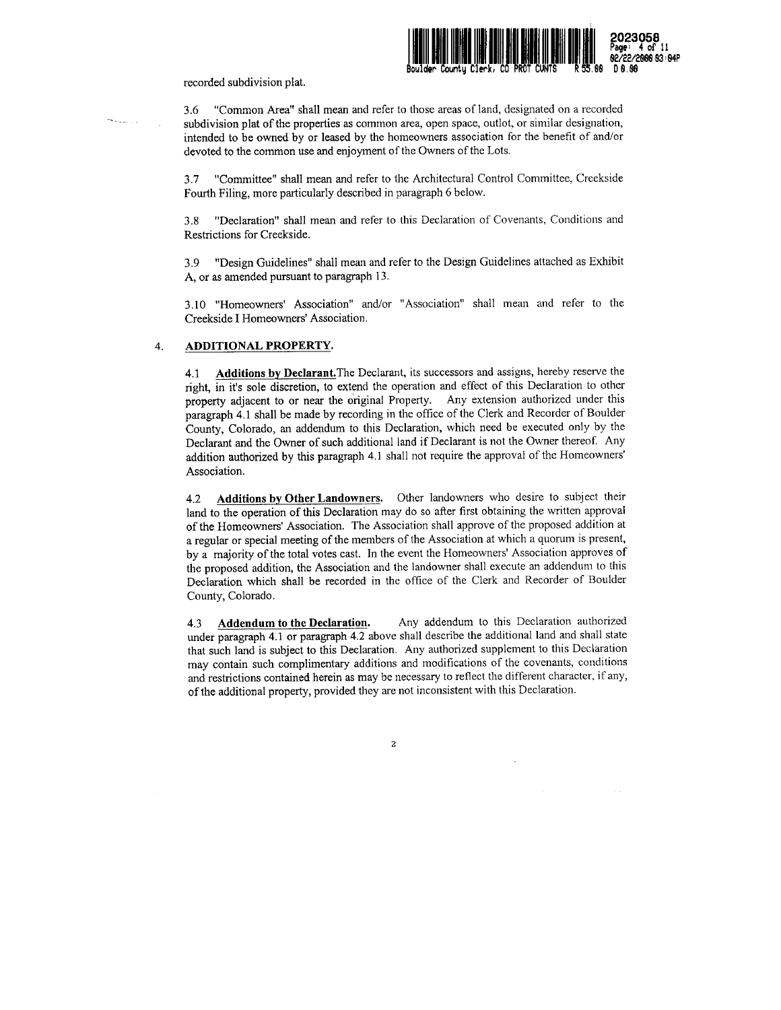

#### recorded subdivision plat.

3.6 "Common Area" shall mean and refer to those areas of land, designated on <sup>a</sup> recorded subdivision plat of the properties as common area, open space, outlot, or similar designation, intended to be owned by or leased by the homeowners association for the benefit of and/or devoted to the common use and enjoyment of the Owners of the Lots.

3.7 "Committee" shall mean and refer to the Architectural Control Committee, Creekside Fourth Filing, more particularly described in paragraph <sup>6</sup> below.

3.8 "Declaration" shall mean and refer to this Declaration of Covenants, Conditions and Restrictions for Creekside.

3.9 "Design Guidelines" shall mean and refer to the Design Guidelines attached as Exhibit A, or as amended pursuant to paragraph 13.

3.10 "Homeowners' Association" and/or "Association" shall mean and refer to the Creekside I Homeowners' Association.

## 4. ADDITIONAL PROPERTY,

4.1 Additions by Declarant. The Declarant, its successors and assigns, hereby reserve the right, in it's sole discretion, to extend the operation and effect of this Declaration to other property adjacent to or near the original Property. Any extension authorized under this paragraph 4.1 shall be made by recording in the office of the Clerk and Recorder of Boulder County, Colorado, an addendum to this Declaration, which need be executed only by the Declarant and the Owner of such additional land if Declarant is not the Owner thereof. Any addition authorized by this paragraph 4.1 shall not require the approval of the Homeowners' Association.

4.2 Additions by Other Landowners. Other landowners who desire to subject their land to the operation of this Declaration may do so after first obtaining the written approval of the Homeowners' Association. The Association shall approve of the proposed addition at <sup>a</sup> regular or special meeting of the members of the Association at which <sup>a</sup> quorum is present, by <sup>a</sup> majority of the total votes cast. In the event the Homeowners' Association approves of the proposed addition, the Association and the landowner shall execute an addendum to this Declaration which shall be recorded in the office of the Clerk and Recorder of Boulder County, Colorado.

4.3 Addendum to the Declaration. Any addendum to this Declaration authorized under paragraph 4.1 or paragraph 4.2 above shall describe the additional land and shall state that such land is subject to this Declaration. Any authorized supplement to this Declaration may contain such complimentary additions and modifications of the covenants, conditions and restrictions contained herein as may be necessary to reflect the different character, if any, of the additional property, provided they are not inconsistent with this Declaration.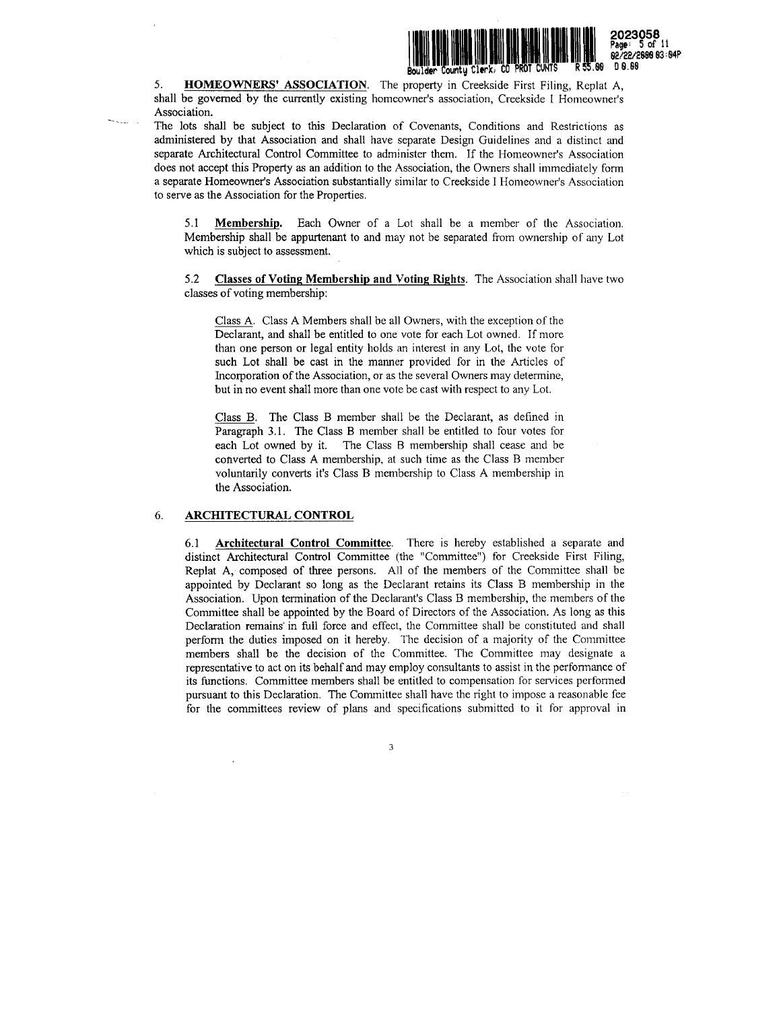

5. HOMEOWNERS' ASSOCIATION. The property in Creekside First Filing, Replat A, shall be governed by the currently existing homeowner's association, Creekside I Homeowner's Association.

The lots shall be subject to this Declaration of Covenants, Conditions and Restrictions as administered by that Association and shall have separate Design Guidelines and a distinct and separate Architectural Control Committee to administer them. If the Homeowner's Association does not accept this Property as an addition to the Association, the Owners shall immediately form a separate Homeowner's Association substantially similar to Creekside I Homeowner's Association to serve as the Association for the Properties.

5.1 Membership. Each Owner of <sup>a</sup> Lot shall be <sup>a</sup> member of the Association. Membership shall be appurtenant to and may not be separated from ownership of any Lot which is subject to assessment.

5.2 Classes of Voting Membership and Voting Rights. The Association shall have two classes of voting membership:

Class A. Class A Members shall be all Owners, with the exception of the Declarant, and shall be entitled to one vote for each Lot owned. If more than one person or legal entity holds an interest in any Lot, the vote for such Lot shall be cast in the manner provided for in the Articles of Incorporation of the Association, or as the several Owners may determine, but in no event shall more than one vote be cast with respect to any Lot.

Class B. The Class B member shall be the Declarant, as defined in Paragraph 3.1. The Class B member shall be entitled to four votes for each Lot owned by it. The Class B membership shall cease and be converted to Class A membership, at such time as the Class B member voluntarily converts it's Class B membership to Class A membership in the Association.

### 6 ARCHITECTURAL CONTROL

6.1 Architectural Control Committee. There is hereby established <sup>a</sup> separate and distinct Architectural Control Committee (the "Committee") for Creekside First Filing, Replat A, composed of three persons. All of the members of the Committee shall be appointed by Declarant so long as the Declarant retains its Class B membership in the Association. Upon termination of the Declarant's Class B membership, the members of the Committee shall be appointed by the Board of Directors of the Association. As long as this Declaration remains' in full force and effect, the Committee shall be constituted and shall perform the duties imposed on it hereby. The decision of <sup>a</sup> majority of the Committee members shall be the decision of the Committee. The Committee may designate <sup>a</sup> representative to act on its behalf and may employ consultants to assist in the performance of its functions. Committee members shall be entitled to compensation for services performed pursuant to this Declaration. The Committee shall have the right to impose a reasonable fee for the committees review of plans and specifications submitted to it for approval in

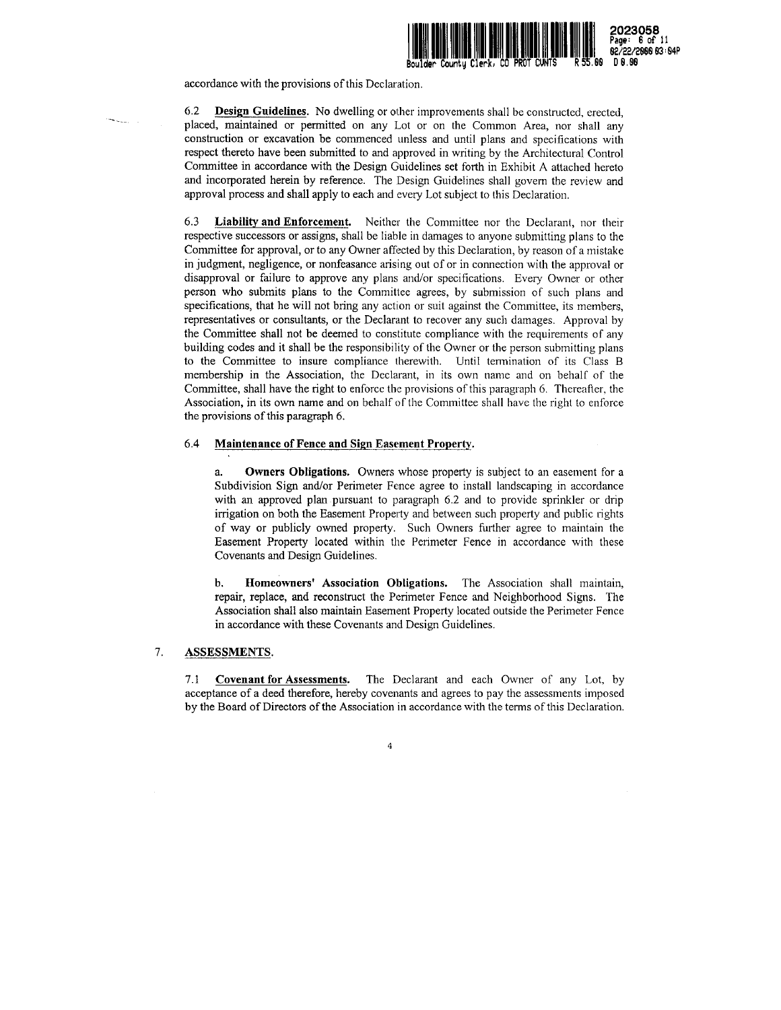

2023058 Page: <sup>6</sup> of <sup>11</sup> 62/22/2888 93 :S4P

accordance with the provisions of this Declaration.

6.2 Design Guidelines. No dwelling or other improvements shall be constructed, erected, placed, maintained or permitted on any Lot or on the Common Area, nor shall any construction or excavation be commenced unless and until plans and specifications with respect thereto have been submitted to and approved in writing by the Architectural Control Committee in accordance with the Design Guidelines set forth in Exhibit A attached hereto and incorporated herein by reference. The Design Guidelines shall govern the review and approval process and shall apply to each and every Lot subject to this Declaration.

6.3 Liability and Enforcement. Neither the Committee nor the Declarant, nor their respective successors or assigns, shall be liable in damages to anyone submitting plans to the Committee for approval, or to any Owner affected by this Declaration, by reason of <sup>a</sup> mistake in judgment, negligence, or nonfeasance arising out of or in connection with the approval or disapproval or failure to approve any plans and/or specifications. Every Owner or other person who submits plans to the Committee agrees, by submission of such plans and specifications, that he will not bring any action or suit against the Committee, its members, representatives or consultants, or the Declarant to recover any such damages. Approval by the Committee shall not be deemed to constitute compliance with the requirements of any building codes and it shall be the responsibility of the Owner or the person submitting plans to the Committee to insure compliance therewith. Until termination of its Class B membership in the Association, the Declarant, in its own name and on behalf of the Committee, shall have the right to enforce the provisions of this paragraph 6. Thereafter, the Association, in its own name and on behalf of the Committee shall have the right to enforce the provisions of this paragraph 6.

#### 6.4 Maintenance of Fence and Sign Easement Property.

Owners Obligations. Owners whose property is subject to an easement for a Subdivision Sign and/or Perimeter Fence agree to install landscaping in accordance with an approved plan pursuant to paragraph 6.2 and to provide sprinkler or drip irrigation on both the Easement Property and between such property and public rights of way or publicly owned property. Such Owners further agree to maintain the Easement Property located within the Perimeter Fence in accordance with these Covenants and Design Guidelines. a.

b. Homeowners' Association Obligations. The Association shall maintain, repair, replace, and reconstruct the Perimeter Fence and Neighborhood Signs. The Association shall also maintain Easement Property located outside the Perimeter Fence in accordance with these Covenants and Design Guidelines.

## 7. ASSESSMENTS.

7.1 Covenant for Assessments. The Declarant and each Owner of any Lot, by acceptance of <sup>a</sup> deed therefore, hereby covenants and agrees to pay the assessments imposed by the Board of Directors of the Association in accordance with the terms of this Declaration.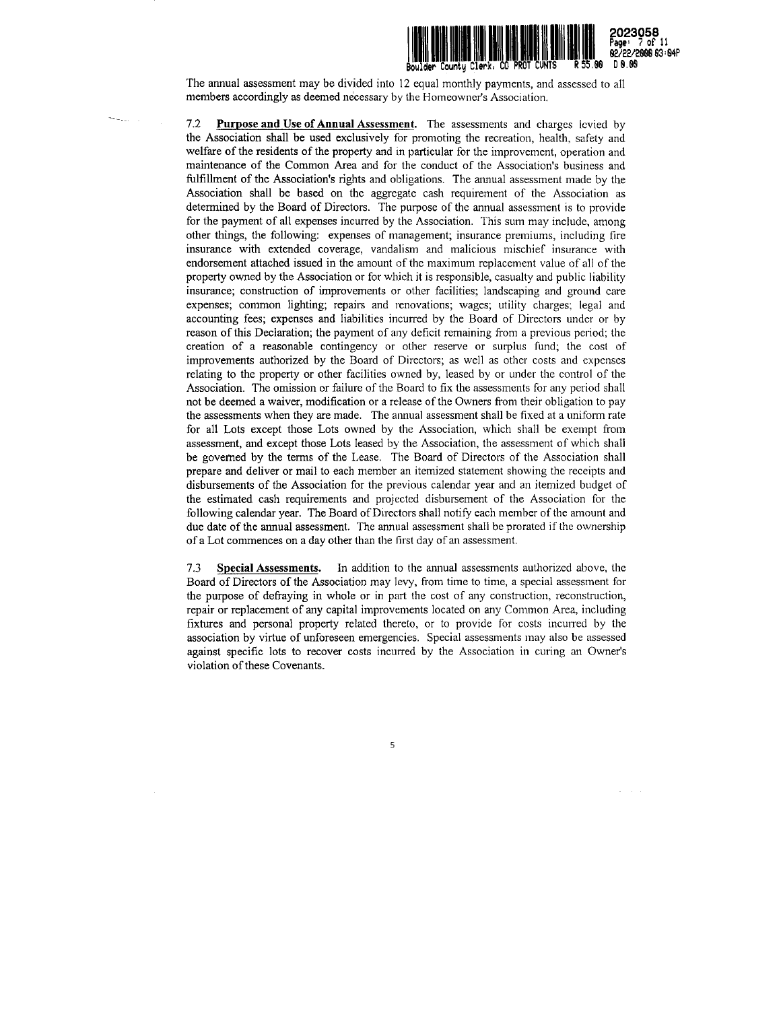

The annual assessment may be divided into 12 equal monthly payments, and assessed to all members accordingly as deemed necessary by the Homeowner's Association.

7.2 Purpose and Use of Annual Assessment. The assessments and charges levied by the Association shall be used exclusively for promoting the recreation, health, safety and welfare of the residents of the property and in particular for the improvement, operation and maintenance of the Common Area and for the conduct of the Association's business and fulfillment of the Association's rights and obligations. The annual assessment made by the Association shall be based on the aggregate cash requirement of the Association as determined by the Board of Directors. The purpose of the annual assessment is to provide for the payment of all expenses incurred by the Association. This sum may include, among other things, the following: expenses of management; insurance premiums, including fire insurance with extended coverage, vandalism and malicious mischief insurance with endorsement attached issued in the amount of the maximum replacement value of all of the property owned by the Association or for which it is responsible, casualty and public liability insurance; construction of improvements or other facilities; landscaping and ground care expenses; common lighting; repairs and renovations; wages; utility charges; legal and accounting fees; expenses and liabilities incurred by the Board of Directors under or by reason of this Declaration; the payment of any deficit remaining from <sup>a</sup> previous period; the creation of a reasonable contingency or other reserve or surplus fund; the cost of improvements authorized by the Board of Directors; as well as other costs and expenses relating to the property or other facilities owned by, leased by or under the control of the Association. The omission or failure of the Board to fix the assessments for any period shall not be deemed a waiver, modification or <sup>a</sup> release of the Owners from their obligation to pay the assessments when they are made. The annual assessment shall be fixed at a uniform rate for all Lots except those Lots owned by the Association, which shall be exempt from assessment, and except those Lots leased by the Association, the assessment of which shall be governed by the terms of the Lease. The Board of Directors of the Association shall prepare and deliver or mail to each member an itemized statement showing the receipts and disbursements of the Association for the previous calendar year and an itemized budget of the estimated cash requirements and projected disbursement of the Association for the following calendar year. The Board of Directors shall notify each member of the amount and due date of the annual assessment. The annual assessment shall be prorated if the ownership of <sup>a</sup> Lot commences on <sup>a</sup> day other than the first day of an assessment.

7.3 Special Assessments, In addition to the annual assessments authorized above, the Board of Directors of the Association may levy, from time to time, a special assessment for the purpose of defraying in whole or in part the cost of any construction, reconstruction, repair or replacement of any capital improvements located on any Common Area, including fixtures and personal property related thereto, or to provide for costs incurred by the association by virtue of unforeseen emergencies. Special assessments may also be assessed against specific lots to recover costs incurred by the Association in curing an Owner's violation of these Covenants.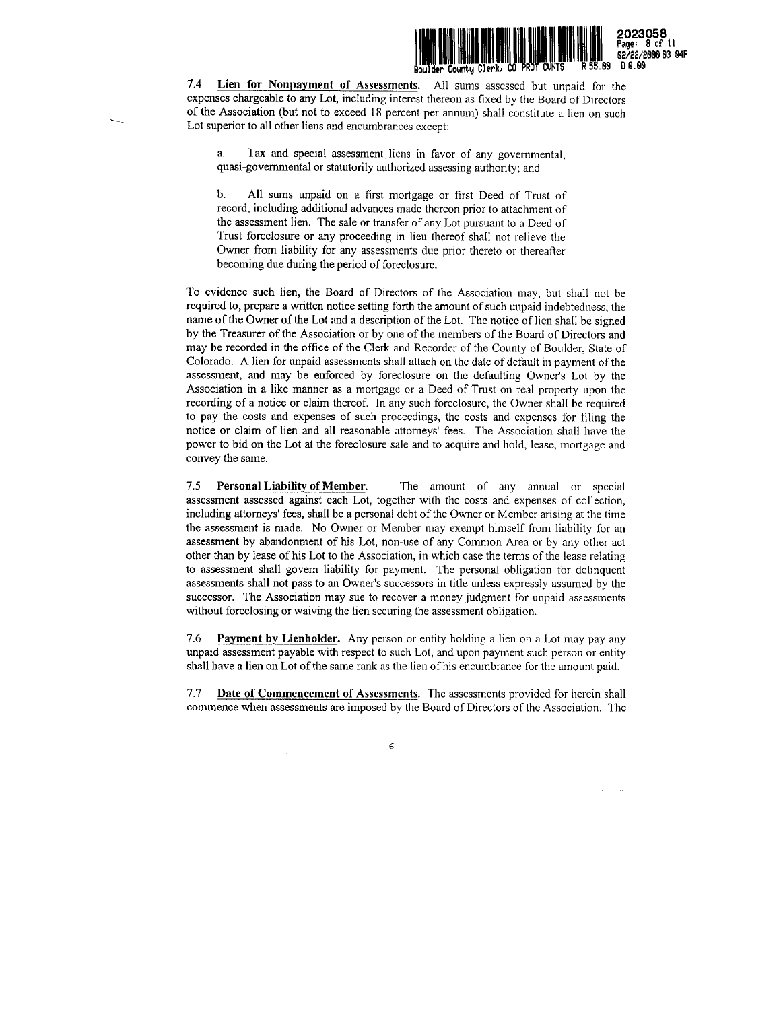

Page: 8 of <sup>11</sup>

7.4 Lien for Nonpayment of Assessments. All sums assessed but unpaid for the expenses chargeable to any Lot, including interest thereon as fixed by the Board of Directors of the Association (but not to exceed <sup>18</sup> percent per annum) shall constitute <sup>a</sup> lien on such Lot superior to all other liens and encumbrances except:

Tax and special assessment liens in favor of any governmental, quasi-governmental or statutorily authorized assessing authority; and a.

b. All sums unpaid on <sup>a</sup> first mortgage or first Deed of Trust of record, including additional advances made thereon prior to attachment of the assessment lien. The sale or transfer of any Lot pursuant to <sup>a</sup> Deed of Trust foreclosure or any proceeding in lieu thereof shall not relieve the Owner from liability for any assessments due prior thereto or thereafter becoming due during the period of foreclosure.

To evidence such lien, the Board of Directors of the Association may, but shall not be required to, prepare a written notice setting forth the amount of such unpaid indebtedness, the name ofthe Owner of the Lot and <sup>a</sup> description of the Lot. The notice of lien shall be signed by the Treasurer of the Association or by one of the members of the Board of Directors and may be recorded in the office of the Clerk and Recorder of the County of Boulder, State of Colorado. A lien for unpaid assessments shall attach on the date of default in payment of the assessment, and may be enforced by foreclosure on the defaulting Owner's Lot by the Association in a like manner as a mortgage or <sup>a</sup> Deed of Trust on real property upon the recording of <sup>a</sup> notice or claim thereof. In any such foreclosure, the Owner shall be required to pay the costs and expenses of such proceedings, the costs and expenses for filing the notice or claim of lien and all reasonable attorneys' fees. The Association shall have the power to bid on the Lot at the foreclosure sale and to acquire and hold, lease, mortgage and convey the same.

The amount of any annual or special assessment assessed against each Lot, together with the costs and expenses of collection, including attorneys' fees, shall be a personal debt of the Owner or Member arising at the time the assessment is made. No Owner or Member may exempt himself from liability for an assessment by abandonment of his Lot, non-use of any Common Area or by any other act other than by lease of his Lot to the Association, in which case the tenns of the lease relating to assessment shall govern liability for payment. The personal obligation for delinquent assessments shall not pass to an Owner's successors in title unless expressly assumed by the successor. The Association may sue to recover a money judgment for unpaid assessments without foreclosing or waiving the lien securing the assessment obligation. 7.5 Personal Liability of Member.

7.6 Payment by Lienholder. Any person or entity holding a lien on a Lot may pay any unpaid assessment payable with respect to such Lot, and upon payment such person or entity shall have a lien on Lot of the same rank as the lien of his encumbrance for the amount paid.

7.7 Date of Commencement of Assessments. The assessments provided for herein shall commence when assessments are imposed by the Board of Directors of the Association. The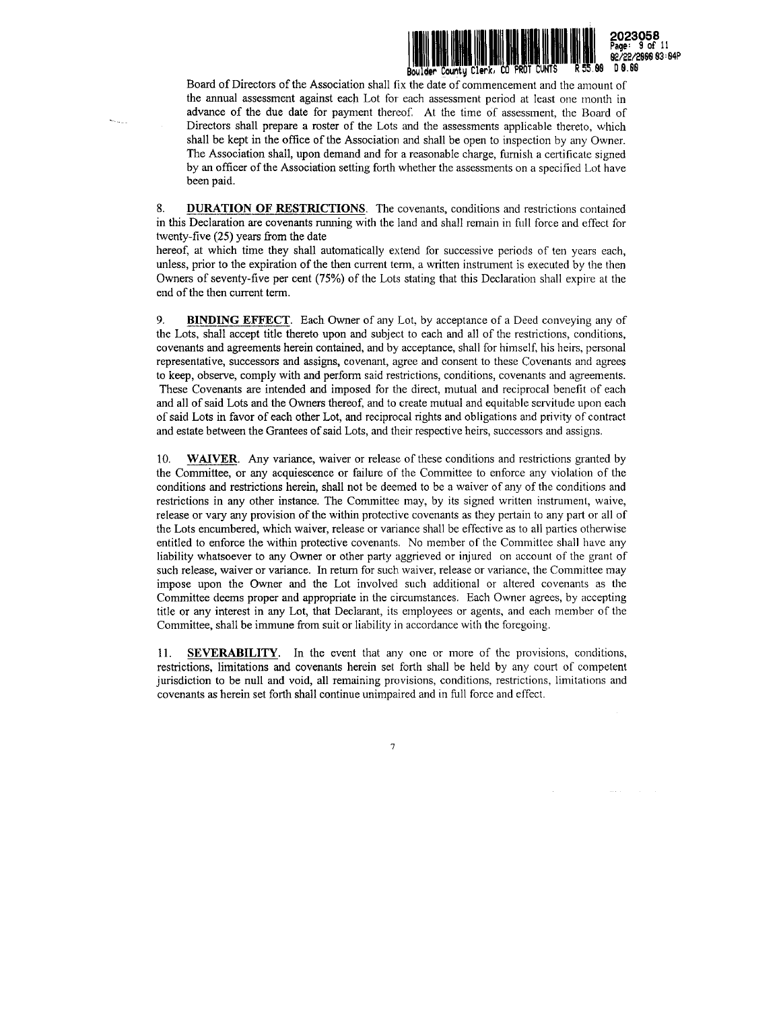

Board of Directors of the Association shall fix the date of commencement and the amount of the annual assessment against each Lot for each assessment period at least one month in advance of the due date for payment thereof, At the time of assessment, the Board of Directors shall prepare a roster of the Lots and the assessments applicable thereto, which shall be kept in the office of the Association and shall be open to inspection by any Owner. The Association shall, upon demand and for a reasonable charge, furnish a certificate signed by an officer of the Association setting forth whether the assessments on a specified Lot have been paid.

DURATION OF RESTRICTIONS. The covenants, conditions and restrictions contained in this Declaration are covenants running with the land and shall remain in full force and effect for twenty-five (25) years from the date 8.

hereof, at which time they shall automatically extend for successive periods of ten years each, unless, prior to the expiration of the then current term, <sup>a</sup> written instrument is executed by the then Owners of seventy-five per cent (75%) of the Lots stating that this Declaration shall expire at the end of the then current term.

**BINDING EFFECT.** Each Owner of any Lot, by acceptance of a Deed conveying any of the Lots, shall accept title thereto upon and subject to each and all of the restrictions, conditions, covenants and agreements herein contained, and by acceptance, shall for himself, his heirs, personal representative, successors and assigns, covenant, agree and consent to these Covenants and agrees to keep, observe, comply with and perform said restrictions, conditions, covenants and agreements. These Covenants are intended and imposed for the direct, mutual and reciprocal benefit of each and all of said Lots and the Owners thereof, and to create mutual and equitable servitude upon each of said Lots in favor of each other Lot, and reciprocal rights and obligations and privity of contract and estate between the Grantees of said Lots, and their respective heirs, successors and assigns. 9.

WAIVER. Any variance, waiver or release of these conditions and restrictions granted by the Committee, or any acquiescence or failure of the Committee to enforce any violation of the conditions and restrictions herein, shall not be deemed to be <sup>a</sup> waiver of any of the conditions and restrictions in any other instance. The Committee may, by its signed written instrument, waive, release or vary any provision of the within protective covenants as they pertain to any part or all of the Lots encumbered, which waiver, release or variance shall be effective as to all parties otherwise entitled to enforce the within protective covenants. No member of the Committee shall have any liability whatsoever to any Owner or other party aggrieved or injured on account of the grant of such release, waiver or variance. In return for such waiver, release or variance, the Committee may impose upon the Owner and the Lot involved such additional or altered covenants as the Committee deems proper and appropriate in the circumstances. Each Owner agrees, by accepting title or any interest in any Lot, that Declarant, its employees or agents, and each member of the Committee, shall be immune from suit or liability in accordance with the foregoing. 10.

11. SEVERABILITY. In the event that any one or more of the provisions, conditions, restrictions, limitations and covenants herein set forth shall be held by any court of competent jurisdiction to be null and void, all remaining provisions, conditions, restrictions, limitations and covenants as herein set forth shall continue unimpaired and in full force and effect.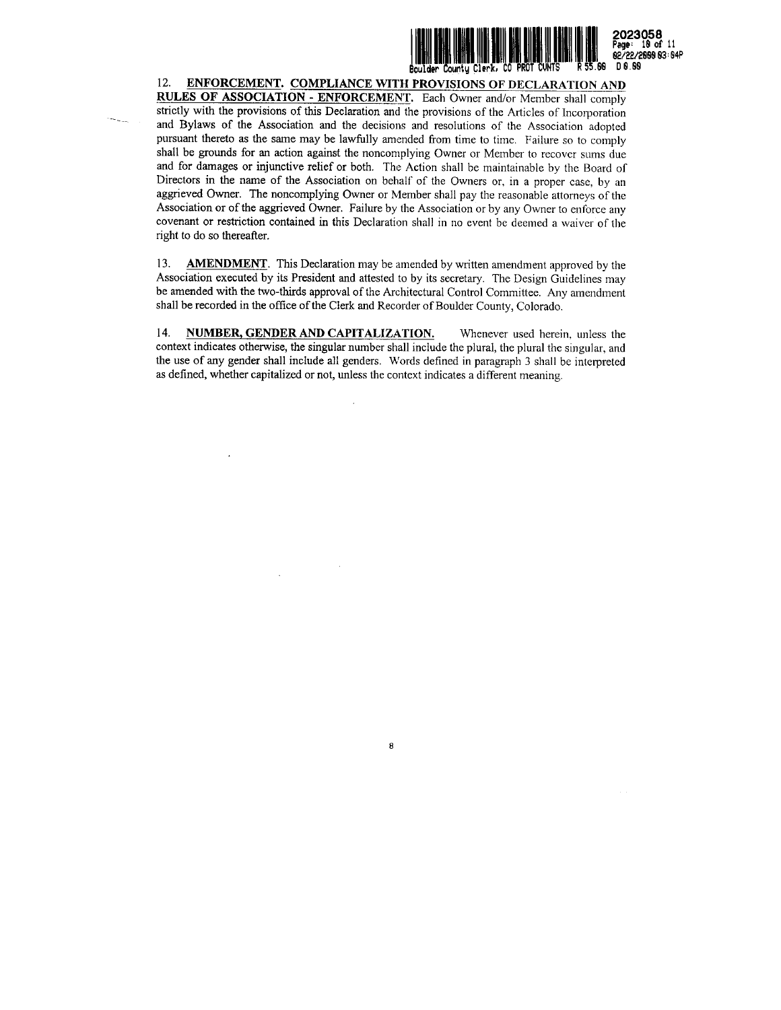

12. ENFORCEMENT. COMPLIANCE WITH PROVISIONS OF DECLARATION AND RULES OF ASSOCIATION - ENFORCEMENT. Each Owner and/or Member shall comply strictly with the provisions of this Declaration and the provisions of the Articles of Incorporation and Bylaws of the Association and the decisions and resolutions of the Association adopted pursuant thereto as the same may be lawfully amended from time to time. Failure so to comply shall be grounds for an action against the noncomplying Owner or Member to recover sums due and for damages or injunctive relief or both. The Action shall be maintainable by the Board of Directors in the name of the Association on behalf of the Owners or, in <sup>a</sup> proper case, by an aggrieved Owner. The noncomplying Owner or Member shall pay the reasonable attorneys of the Association or of the aggrieved Owner. Failure by the Association or by any Owner to enforce any covenant or restriction contained in this Declaration shall in no event be deemed <sup>a</sup> waiver of the right to do so thereafter.

13. AMENDMENT. This Declaration may be amended by written amendment approved by the Association executed by its President and attested to by its secretary. The Design Guidelines may be amended with the two-thirds approval of the Architectural Control Committee. Any amendment shall be recorded in the office of the Clerk and Recorder of Boulder County, Colorado.

14. NUMBER, GENDER AND CAPITALIZATION. Whenever used herein, unless the context indicates otherwise, the singular number shall include the plural, the plural the singular, and the use of any gender shall include all genders. Words defined in paragraph <sup>3</sup> shall be interpreted as defined, whether capitalized or not, unless the context indicates <sup>a</sup> different meaning.